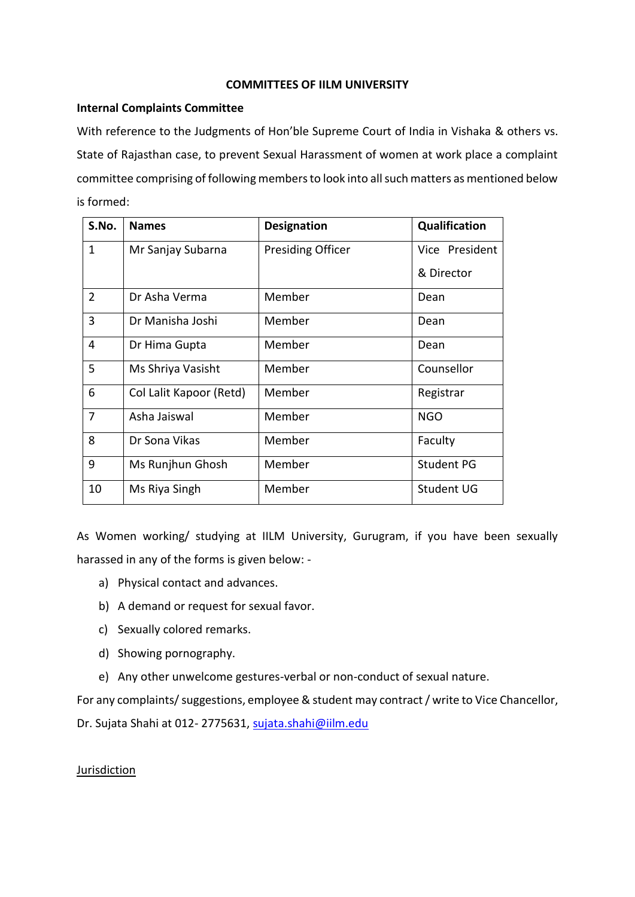#### **COMMITTEES OF IILM UNIVERSITY**

#### **Internal Complaints Committee**

With reference to the Judgments of Hon'ble Supreme Court of India in Vishaka & others vs. State of Rajasthan case, to prevent Sexual Harassment of women at work place a complaint committee comprising of following members to look into all such matters as mentioned below is formed:

| S.No.          | <b>Names</b>            | <b>Designation</b>       | Qualification     |
|----------------|-------------------------|--------------------------|-------------------|
| $\mathbf{1}$   | Mr Sanjay Subarna       | <b>Presiding Officer</b> | Vice President    |
|                |                         |                          | & Director        |
| $\overline{2}$ | Dr Asha Verma           | Member                   | Dean              |
| 3              | Dr Manisha Joshi        | Member                   | Dean              |
| 4              | Dr Hima Gupta           | Member                   | Dean              |
| 5              | Ms Shriya Vasisht       | Member                   | Counsellor        |
| 6              | Col Lalit Kapoor (Retd) | Member                   | Registrar         |
| $\overline{7}$ | Asha Jaiswal            | Member                   | <b>NGO</b>        |
| 8              | Dr Sona Vikas           | Member                   | Faculty           |
| 9              | Ms Runjhun Ghosh        | Member                   | <b>Student PG</b> |
| 10             | Ms Riya Singh           | Member                   | <b>Student UG</b> |

As Women working/ studying at IILM University, Gurugram, if you have been sexually harassed in any of the forms is given below: -

- a) Physical contact and advances.
- b) A demand or request for sexual favor.
- c) Sexually colored remarks.
- d) Showing pornography.
- e) Any other unwelcome gestures-verbal or non-conduct of sexual nature.

For any complaints/ suggestions, employee & student may contract / write to Vice Chancellor,

Dr. Sujata Shahi at 012-2775631, sujata.shahi@iilm.edu

### Jurisdiction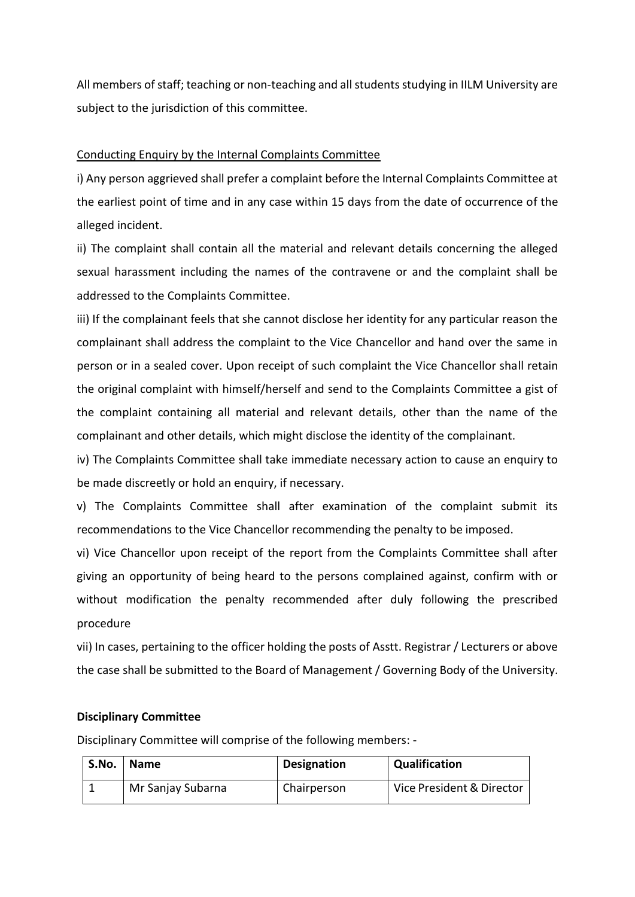All members of staff; teaching or non-teaching and all students studying in IILM University are subject to the jurisdiction of this committee.

### Conducting Enquiry by the Internal Complaints Committee

i) Any person aggrieved shall prefer a complaint before the Internal Complaints Committee at the earliest point of time and in any case within 15 days from the date of occurrence of the alleged incident.

ii) The complaint shall contain all the material and relevant details concerning the alleged sexual harassment including the names of the contravene or and the complaint shall be addressed to the Complaints Committee.

iii) If the complainant feels that she cannot disclose her identity for any particular reason the complainant shall address the complaint to the Vice Chancellor and hand over the same in person or in a sealed cover. Upon receipt of such complaint the Vice Chancellor shall retain the original complaint with himself/herself and send to the Complaints Committee a gist of the complaint containing all material and relevant details, other than the name of the complainant and other details, which might disclose the identity of the complainant.

iv) The Complaints Committee shall take immediate necessary action to cause an enquiry to be made discreetly or hold an enquiry, if necessary.

v) The Complaints Committee shall after examination of the complaint submit its recommendations to the Vice Chancellor recommending the penalty to be imposed.

vi) Vice Chancellor upon receipt of the report from the Complaints Committee shall after giving an opportunity of being heard to the persons complained against, confirm with or without modification the penalty recommended after duly following the prescribed procedure

vii) In cases, pertaining to the officer holding the posts of Asstt. Registrar / Lecturers or above the case shall be submitted to the Board of Management / Governing Body of the University.

### **Disciplinary Committee**

Disciplinary Committee will comprise of the following members: -

| S.No. | <b>Name</b>       | <b>Designation</b> | Qualification             |
|-------|-------------------|--------------------|---------------------------|
|       | Mr Sanjay Subarna | Chairperson        | Vice President & Director |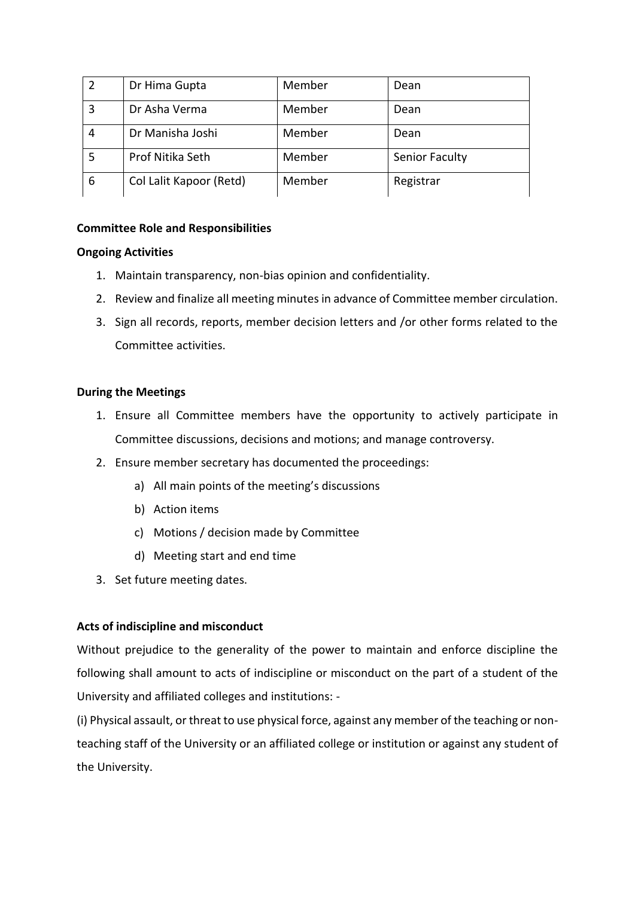|   | Dr Hima Gupta           | Member | Dean           |
|---|-------------------------|--------|----------------|
| 3 | Dr Asha Verma           | Member | Dean           |
|   | Dr Manisha Joshi        | Member | Dean           |
|   | Prof Nitika Seth        | Member | Senior Faculty |
| 6 | Col Lalit Kapoor (Retd) | Member | Registrar      |

# **Committee Role and Responsibilities**

### **Ongoing Activities**

- 1. Maintain transparency, non-bias opinion and confidentiality.
- 2. Review and finalize all meeting minutes in advance of Committee member circulation.
- 3. Sign all records, reports, member decision letters and /or other forms related to the Committee activities.

### **During the Meetings**

- 1. Ensure all Committee members have the opportunity to actively participate in Committee discussions, decisions and motions; and manage controversy.
- 2. Ensure member secretary has documented the proceedings:
	- a) All main points of the meeting's discussions
	- b) Action items
	- c) Motions / decision made by Committee
	- d) Meeting start and end time
- 3. Set future meeting dates.

### **Acts of indiscipline and misconduct**

Without prejudice to the generality of the power to maintain and enforce discipline the following shall amount to acts of indiscipline or misconduct on the part of a student of the University and affiliated colleges and institutions: -

(i) Physical assault, or threat to use physical force, against any member of the teaching or nonteaching staff of the University or an affiliated college or institution or against any student of the University.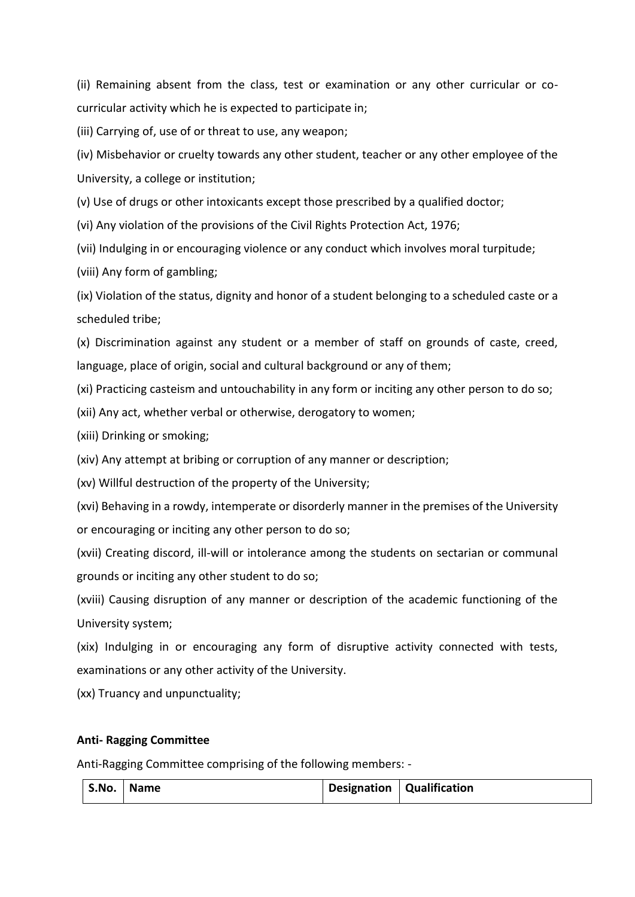(ii) Remaining absent from the class, test or examination or any other curricular or cocurricular activity which he is expected to participate in;

(iii) Carrying of, use of or threat to use, any weapon;

(iv) Misbehavior or cruelty towards any other student, teacher or any other employee of the University, a college or institution;

(v) Use of drugs or other intoxicants except those prescribed by a qualified doctor;

(vi) Any violation of the provisions of the Civil Rights Protection Act, 1976;

(vii) Indulging in or encouraging violence or any conduct which involves moral turpitude;

(viii) Any form of gambling;

(ix) Violation of the status, dignity and honor of a student belonging to a scheduled caste or a scheduled tribe;

(x) Discrimination against any student or a member of staff on grounds of caste, creed, language, place of origin, social and cultural background or any of them;

(xi) Practicing casteism and untouchability in any form or inciting any other person to do so;

(xii) Any act, whether verbal or otherwise, derogatory to women;

(xiii) Drinking or smoking;

(xiv) Any attempt at bribing or corruption of any manner or description;

(xv) Willful destruction of the property of the University;

(xvi) Behaving in a rowdy, intemperate or disorderly manner in the premises of the University or encouraging or inciting any other person to do so;

(xvii) Creating discord, ill-will or intolerance among the students on sectarian or communal grounds or inciting any other student to do so;

(xviii) Causing disruption of any manner or description of the academic functioning of the University system;

(xix) Indulging in or encouraging any form of disruptive activity connected with tests, examinations or any other activity of the University.

(xx) Truancy and unpunctuality;

# **Anti- Ragging Committee**

Anti-Ragging Committee comprising of the following members: -

| S.No.   Name |  |  | Designation   Qualification |
|--------------|--|--|-----------------------------|
|--------------|--|--|-----------------------------|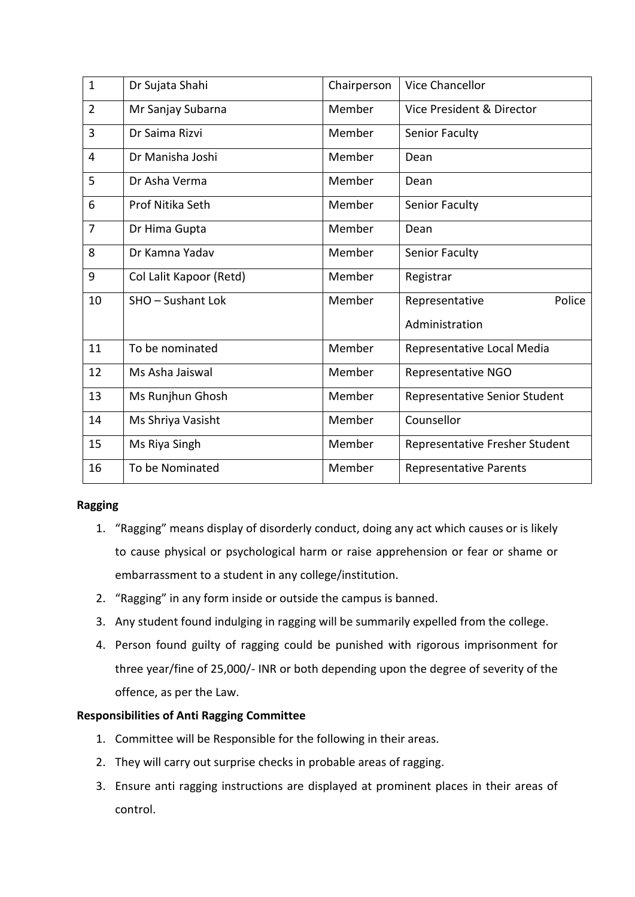| $\mathbf{1}$   | Dr Sujata Shahi         | Chairperson | <b>Vice Chancellor</b>         |
|----------------|-------------------------|-------------|--------------------------------|
| $\overline{2}$ | Mr Sanjay Subarna       | Member      | Vice President & Director      |
| $\overline{3}$ | Dr Saima Rizvi          | Member      | Senior Faculty                 |
| $\overline{4}$ | Dr Manisha Joshi        | Member      | Dean                           |
| 5              | Dr Asha Verma           | Member      | Dean                           |
| 6              | Prof Nitika Seth        | Member      | Senior Faculty                 |
| $\overline{7}$ | Dr Hima Gupta           | Member      | Dean                           |
| 8              | Dr Kamna Yadav          | Member      | Senior Faculty                 |
| 9              | Col Lalit Kapoor (Retd) | Member      | Registrar                      |
| 10             | SHO - Sushant Lok       | Member      | Police<br>Representative       |
|                |                         |             | Administration                 |
| 11             | To be nominated         | Member      | Representative Local Media     |
| 12             | Ms Asha Jaiswal         | Member      | Representative NGO             |
| 13             | Ms Runjhun Ghosh        | Member      | Representative Senior Student  |
| 14             | Ms Shriya Vasisht       | Member      | Counsellor                     |
| 15             | Ms Riya Singh           | Member      | Representative Fresher Student |
| 16             | To be Nominated         | Member      | <b>Representative Parents</b>  |

# **Ragging**

- 1. "Ragging" means display of disorderly conduct, doing any act which causes or is likely to cause physical or psychological harm or raise apprehension or fear or shame or embarrassment to a student in any college/institution.
- 2. "Ragging" in any form inside or outside the campus is banned.
- 3. Any student found indulging in ragging will be summarily expelled from the college.
- 4. Person found guilty of ragging could be punished with rigorous imprisonment for three year/fine of 25,000/- INR or both depending upon the degree of severity of the offence, as per the Law.

# **Responsibilities of Anti Ragging Committee**

- 1. Committee will be Responsible for the following in their areas.
- 2. They will carry out surprise checks in probable areas of ragging.
- 3. Ensure anti ragging instructions are displayed at prominent places in their areas of control.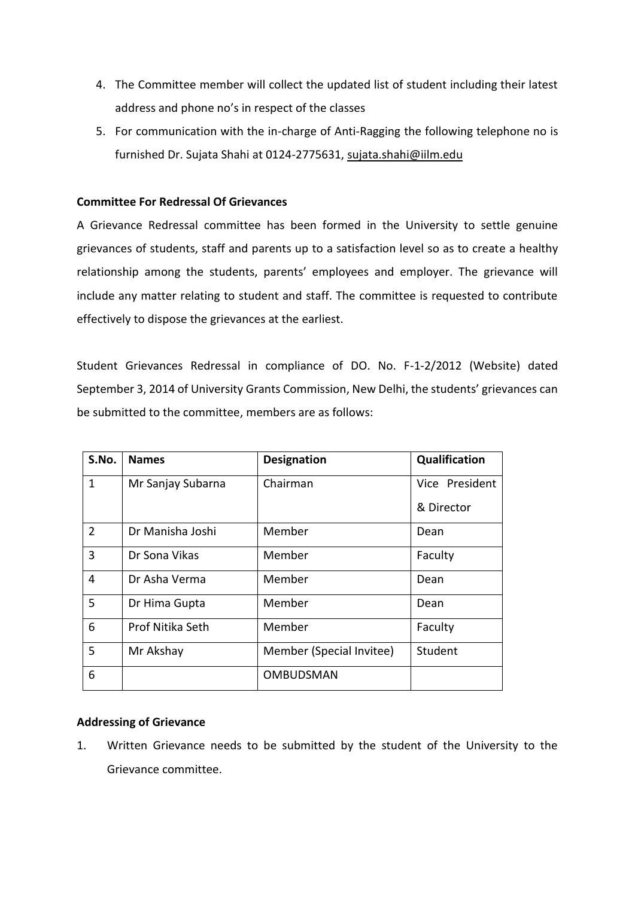- 4. The Committee member will collect the updated list of student including their latest address and phone no's in respect of the classes
- 5. For communication with the in-charge of Anti-Ragging the following telephone no is furnished Dr. Sujata Shahi at 0124-2775631, [sujata.shahi@iilm.edu](mailto:sujata.shahi@iilm.edu)

### **Committee For Redressal Of Grievances**

A Grievance Redressal committee has been formed in the University to settle genuine grievances of students, staff and parents up to a satisfaction level so as to create a healthy relationship among the students, parents' employees and employer. The grievance will include any matter relating to student and staff. The committee is requested to contribute effectively to dispose the grievances at the earliest.

Student Grievances Redressal in compliance of DO. No. F-1-2/2012 (Website) dated September 3, 2014 of University Grants Commission, New Delhi, the students' grievances can be submitted to the committee, members are as follows:

| S.No.        | <b>Names</b>      | <b>Designation</b>       | Qualification  |
|--------------|-------------------|--------------------------|----------------|
| $\mathbf{1}$ | Mr Sanjay Subarna | Chairman                 | Vice President |
|              |                   |                          | & Director     |
| 2            | Dr Manisha Joshi  | Member                   | Dean           |
| 3            | Dr Sona Vikas     | Member                   | Faculty        |
| 4            | Dr Asha Verma     | Member                   | Dean           |
| 5            | Dr Hima Gupta     | Member                   | Dean           |
| 6            | Prof Nitika Seth  | Member                   | Faculty        |
| 5            | Mr Akshay         | Member (Special Invitee) | Student        |
| 6            |                   | <b>OMBUDSMAN</b>         |                |

# **Addressing of Grievance**

1. Written Grievance needs to be submitted by the student of the University to the Grievance committee.